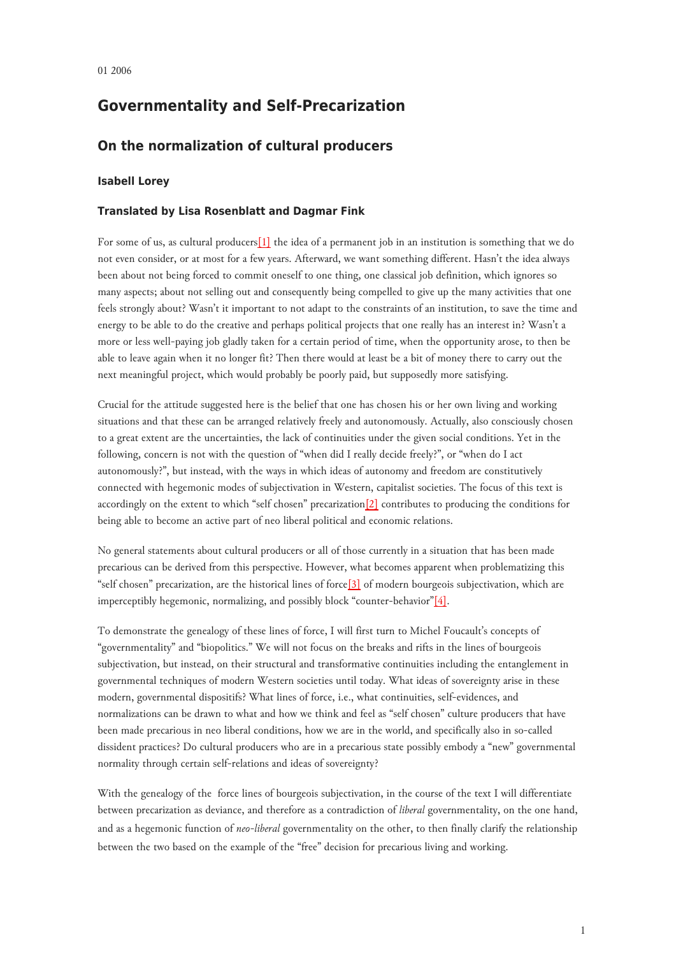# **Governmentality and Self-Precarization**

# **On the normalization of cultural producers**

## **Isabell Lorey**

### **Translated by Lisa Rosenblatt and Dagmar Fink**

<span id="page-0-0"></span>For some of us, as cultural producers<sup>[1]</sup> the idea of a permanent job in an institution is something that we do not even consider, or at most for a few years. Afterward, we want something different. Hasn't the idea always been about not being forced to commit oneself to one thing, one classical job definition, which ignores so many aspects; about not selling out and consequently being compelled to give up the many activities that one feels strongly about? Wasn't it important to not adapt to the constraints of an institution, to save the time and energy to be able to do the creative and perhaps political projects that one really has an interest in? Wasn't a more or less well-paying job gladly taken for a certain period of time, when the opportunity arose, to then be able to leave again when it no longer fit? Then there would at least be a bit of money there to carry out the next meaningful project, which would probably be poorly paid, but supposedly more satisfying.

<span id="page-0-1"></span>Crucial for the attitude suggested here is the belief that one has chosen his or her own living and working situations and that these can be arranged relatively freely and autonomously. Actually, also consciously chosen to a great extent are the uncertainties, the lack of continuities under the given social conditions. Yet in the following, concern is not with the question of "when did I really decide freely?", or "when do I act autonomously?", but instead, with the ways in which ideas of autonomy and freedom are constitutively connected with hegemonic modes of subjectivation in Western, capitalist societies. The focus of this text is accordingly on the extent to which "self chosen" precarization<sup>[2]</sup> contributes to producing the conditions for being able to become an active part of neo liberal political and economic relations.

<span id="page-0-2"></span>No general statements about cultural producers or all of those currently in a situation that has been made precarious can be derived from this perspective. However, what becomes apparent when problematizing this "self chosen" precarization, are the historical lines of force[\[3\]](#page-10-1) of modern bourgeois subjectivation, which are imperceptibly hegemonic, normalizing, and possibly block "counter-behavior"[\[4\].](#page-10-2)

To demonstrate the genealogy of these lines of force, I will first turn to Michel Foucault's concepts of "governmentality" and "biopolitics." We will not focus on the breaks and rifts in the lines of bourgeois subjectivation, but instead, on their structural and transformative continuities including the entanglement in governmental techniques of modern Western societies until today. What ideas of sovereignty arise in these modern, governmental dispositifs? What lines of force, i.e., what continuities, self-evidences, and normalizations can be drawn to what and how we think and feel as "self chosen" culture producers that have been made precarious in neo liberal conditions, how we are in the world, and specifically also in so-called dissident practices? Do cultural producers who are in a precarious state possibly embody a "new" governmental normality through certain self-relations and ideas of sovereignty?

With the genealogy of the force lines of bourgeois subjectivation, in the course of the text I will differentiate between precarization as deviance, and therefore as a contradiction of *liberal* governmentality, on the one hand, and as a hegemonic function of *neo-liberal* governmentality on the other, to then finally clarify the relationship between the two based on the example of the "free" decision for precarious living and working.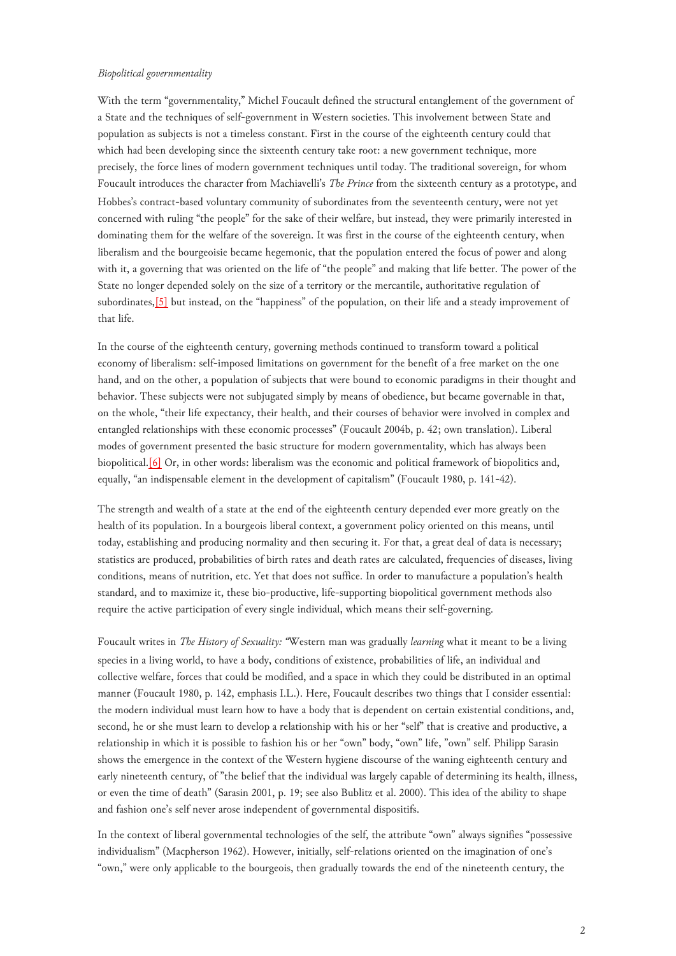#### *Biopolitical governmentality*

<span id="page-1-0"></span>With the term "governmentality," Michel Foucault defined the structural entanglement of the government of a State and the techniques of self-government in Western societies. This involvement between State and population as subjects is not a timeless constant. First in the course of the eighteenth century could that which had been developing since the sixteenth century take root: a new government technique, more precisely, the force lines of modern government techniques until today. The traditional sovereign, for whom Foucault introduces the character from Machiavelli's *The Prince* from the sixteenth century as a prototype, and Hobbes's contract-based voluntary community of subordinates from the seventeenth century, were not yet concerned with ruling "the people" for the sake of their welfare, but instead, they were primarily interested in dominating them for the welfare of the sovereign. It was first in the course of the eighteenth century, when liberalism and the bourgeoisie became hegemonic, that the population entered the focus of power and along with it, a governing that was oriented on the life of "the people" and making that life better. The power of the State no longer depended solely on the size of a territory or the mercantile, authoritative regulation of subordinates[,\[5\]](#page-10-3) but instead, on the "happiness" of the population, on their life and a steady improvement of that life.

<span id="page-1-1"></span>In the course of the eighteenth century, governing methods continued to transform toward a political economy of liberalism: self-imposed limitations on government for the benefit of a free market on the one hand, and on the other, a population of subjects that were bound to economic paradigms in their thought and behavior. These subjects were not subjugated simply by means of obedience, but became governable in that, on the whole, "their life expectancy, their health, and their courses of behavior were involved in complex and entangled relationships with these economic processes" (Foucault 2004b, p. 42; own translation). Liberal modes of government presented the basic structure for modern governmentality, which has always been biopolitical.[\[6\]](#page-10-4) Or, in other words: liberalism was the economic and political framework of biopolitics and, equally, "an indispensable element in the development of capitalism" (Foucault 1980, p. 141-42).

The strength and wealth of a state at the end of the eighteenth century depended ever more greatly on the health of its population. In a bourgeois liberal context, a government policy oriented on this means, until today, establishing and producing normality and then securing it. For that, a great deal of data is necessary; statistics are produced, probabilities of birth rates and death rates are calculated, frequencies of diseases, living conditions, means of nutrition, etc. Yet that does not suffice. In order to manufacture a population's health standard, and to maximize it, these bio-productive, life-supporting biopolitical government methods also require the active participation of every single individual, which means their self-governing.

Foucault writes in *The History of Sexuality: "*Western man was gradually *learning* what it meant to be a living species in a living world, to have a body, conditions of existence, probabilities of life, an individual and collective welfare, forces that could be modified, and a space in which they could be distributed in an optimal manner (Foucault 1980, p. 142, emphasis I.L.). Here, Foucault describes two things that I consider essential: the modern individual must learn how to have a body that is dependent on certain existential conditions, and, second, he or she must learn to develop a relationship with his or her "self" that is creative and productive, a relationship in which it is possible to fashion his or her "own" body, "own" life, "own" self. Philipp Sarasin shows the emergence in the context of the Western hygiene discourse of the waning eighteenth century and early nineteenth century, of "the belief that the individual was largely capable of determining its health, illness, or even the time of death" (Sarasin 2001, p. 19; see also Bublitz et al. 2000). This idea of the ability to shape and fashion one's self never arose independent of governmental dispositifs.

In the context of liberal governmental technologies of the self, the attribute "own" always signifies "possessive individualism" (Macpherson 1962). However, initially, self-relations oriented on the imagination of one's "own," were only applicable to the bourgeois, then gradually towards the end of the nineteenth century, the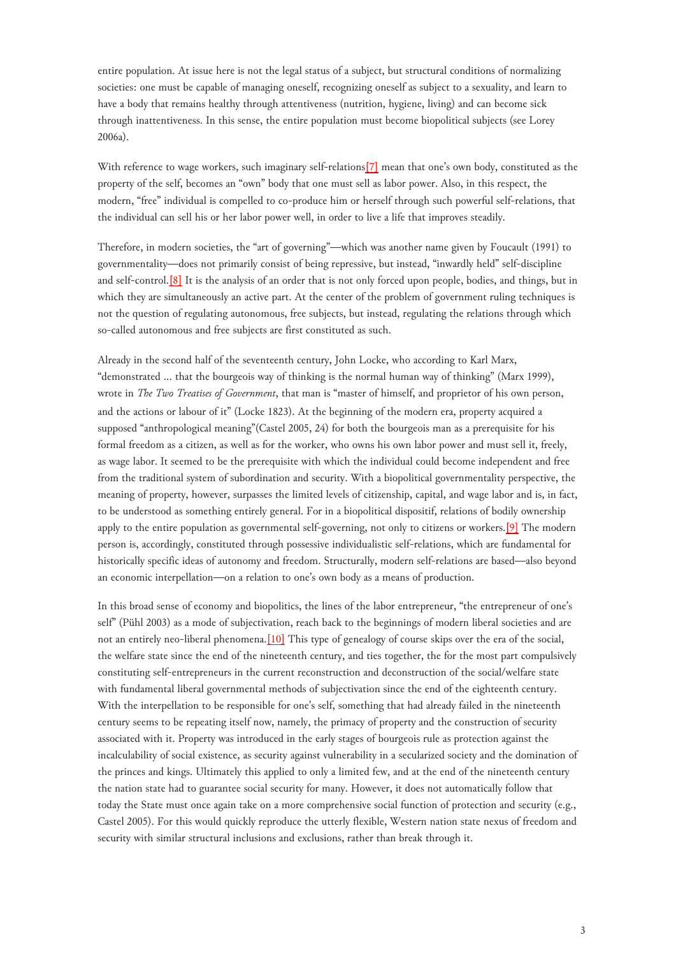entire population. At issue here is not the legal status of a subject, but structural conditions of normalizing societies: one must be capable of managing oneself, recognizing oneself as subject to a sexuality, and learn to have a body that remains healthy through attentiveness (nutrition, hygiene, living) and can become sick through inattentiveness. In this sense, the entire population must become biopolitical subjects (see Lorey 2006a).

<span id="page-2-0"></span>With reference to wage workers, such imaginary self-relations[\[7\]](#page-10-5) mean that one's own body, constituted as the property of the self, becomes an "own" body that one must sell as labor power. Also, in this respect, the modern, "free" individual is compelled to co-produce him or herself through such powerful self-relations, that the individual can sell his or her labor power well, in order to live a life that improves steadily.

<span id="page-2-1"></span>Therefore, in modern societies, the "art of governing"—which was another name given by Foucault (1991) to governmentality—does not primarily consist of being repressive, but instead, "inwardly held" self-discipline and self-control.[\[8\]](#page-10-6) It is the analysis of an order that is not only forced upon people, bodies, and things, but in which they are simultaneously an active part. At the center of the problem of government ruling techniques is not the question of regulating autonomous, free subjects, but instead, regulating the relations through which so-called autonomous and free subjects are first constituted as such.

<span id="page-2-2"></span>Already in the second half of the seventeenth century, John Locke, who according to Karl Marx, "demonstrated ... that the bourgeois way of thinking is the normal human way of thinking" (Marx 1999), wrote in *The Two Treatises of Government*, that man is "master of himself, and proprietor of his own person, and the actions or labour of it" (Locke 1823). At the beginning of the modern era, property acquired a supposed "anthropological meaning"(Castel 2005, 24) for both the bourgeois man as a prerequisite for his formal freedom as a citizen, as well as for the worker, who owns his own labor power and must sell it, freely, as wage labor. It seemed to be the prerequisite with which the individual could become independent and free from the traditional system of subordination and security. With a biopolitical governmentality perspective, the meaning of property, however, surpasses the limited levels of citizenship, capital, and wage labor and is, in fact, to be understood as something entirely general. For in a biopolitical dispositif, relations of bodily ownership apply to the entire population as governmental self-governing, not only to citizens or workers.<sup>[9]</sup> The modern person is, accordingly, constituted through possessive individualistic self-relations, which are fundamental for historically specific ideas of autonomy and freedom. Structurally, modern self-relations are based—also beyond an economic interpellation—on a relation to one's own body as a means of production.

<span id="page-2-3"></span>In this broad sense of economy and biopolitics, the lines of the labor entrepreneur, "the entrepreneur of one's self" (Pühl 2003) as a mode of subjectivation, reach back to the beginnings of modern liberal societies and are not an entirely neo-liberal phenomena.[\[10\]](#page-10-8) This type of genealogy of course skips over the era of the social, the welfare state since the end of the nineteenth century, and ties together, the for the most part compulsively constituting self-entrepreneurs in the current reconstruction and deconstruction of the social/welfare state with fundamental liberal governmental methods of subjectivation since the end of the eighteenth century. With the interpellation to be responsible for one's self, something that had already failed in the nineteenth century seems to be repeating itself now, namely, the primacy of property and the construction of security associated with it. Property was introduced in the early stages of bourgeois rule as protection against the incalculability of social existence, as security against vulnerability in a secularized society and the domination of the princes and kings. Ultimately this applied to only a limited few, and at the end of the nineteenth century the nation state had to guarantee social security for many. However, it does not automatically follow that today the State must once again take on a more comprehensive social function of protection and security (e.g., Castel 2005). For this would quickly reproduce the utterly flexible, Western nation state nexus of freedom and security with similar structural inclusions and exclusions, rather than break through it.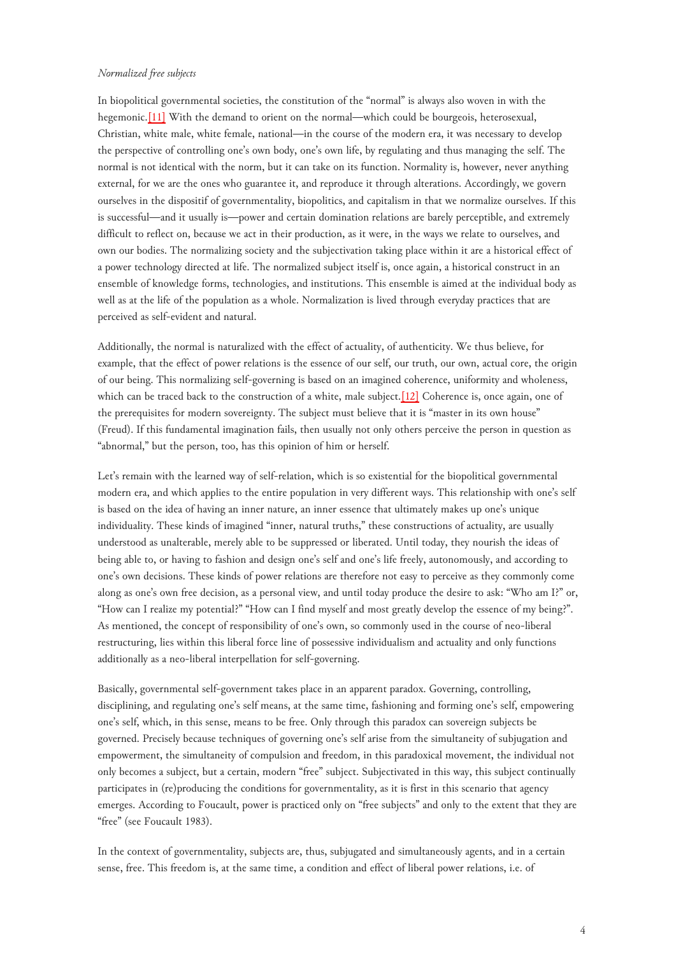#### *Normalized free subjects*

<span id="page-3-0"></span>In biopolitical governmental societies, the constitution of the "normal" is always also woven in with the hegemonic[.\[11\]](#page-11-0) With the demand to orient on the normal—which could be bourgeois, heterosexual, Christian, white male, white female, national—in the course of the modern era, it was necessary to develop the perspective of controlling one's own body, one's own life, by regulating and thus managing the self. The normal is not identical with the norm, but it can take on its function. Normality is, however, never anything external, for we are the ones who guarantee it, and reproduce it through alterations. Accordingly, we govern ourselves in the dispositif of governmentality, biopolitics, and capitalism in that we normalize ourselves. If this is successful—and it usually is—power and certain domination relations are barely perceptible, and extremely difficult to reflect on, because we act in their production, as it were, in the ways we relate to ourselves, and own our bodies. The normalizing society and the subjectivation taking place within it are a historical effect of a power technology directed at life. The normalized subject itself is, once again, a historical construct in an ensemble of knowledge forms, technologies, and institutions. This ensemble is aimed at the individual body as well as at the life of the population as a whole. Normalization is lived through everyday practices that are perceived as self-evident and natural.

<span id="page-3-1"></span>Additionally, the normal is naturalized with the effect of actuality, of authenticity. We thus believe, for example, that the effect of power relations is the essence of our self, our truth, our own, actual core, the origin of our being. This normalizing self-governing is based on an imagined coherence, uniformity and wholeness, which can be traced back to the construction of a white, male subject.<sup>[12]</sup> Coherence is, once again, one of the prerequisites for modern sovereignty. The subject must believe that it is "master in its own house" (Freud). If this fundamental imagination fails, then usually not only others perceive the person in question as "abnormal," but the person, too, has this opinion of him or herself.

Let's remain with the learned way of self-relation, which is so existential for the biopolitical governmental modern era, and which applies to the entire population in very different ways. This relationship with one's self is based on the idea of having an inner nature, an inner essence that ultimately makes up one's unique individuality. These kinds of imagined "inner, natural truths," these constructions of actuality, are usually understood as unalterable, merely able to be suppressed or liberated. Until today, they nourish the ideas of being able to, or having to fashion and design one's self and one's life freely, autonomously, and according to one's own decisions. These kinds of power relations are therefore not easy to perceive as they commonly come along as one's own free decision, as a personal view, and until today produce the desire to ask: "Who am I?" or, "How can I realize my potential?" "How can I find myself and most greatly develop the essence of my being?". As mentioned, the concept of responsibility of one's own, so commonly used in the course of neo-liberal restructuring, lies within this liberal force line of possessive individualism and actuality and only functions additionally as a neo-liberal interpellation for self-governing.

Basically, governmental self-government takes place in an apparent paradox. Governing, controlling, disciplining, and regulating one's self means, at the same time, fashioning and forming one's self, empowering one's self, which, in this sense, means to be free. Only through this paradox can sovereign subjects be governed. Precisely because techniques of governing one's self arise from the simultaneity of subjugation and empowerment, the simultaneity of compulsion and freedom, in this paradoxical movement, the individual not only becomes a subject, but a certain, modern "free" subject. Subjectivated in this way, this subject continually participates in (re)producing the conditions for governmentality, as it is first in this scenario that agency emerges. According to Foucault, power is practiced only on "free subjects" and only to the extent that they are "free" (see Foucault 1983).

In the context of governmentality, subjects are, thus, subjugated and simultaneously agents, and in a certain sense, free. This freedom is, at the same time, a condition and effect of liberal power relations, i.e. of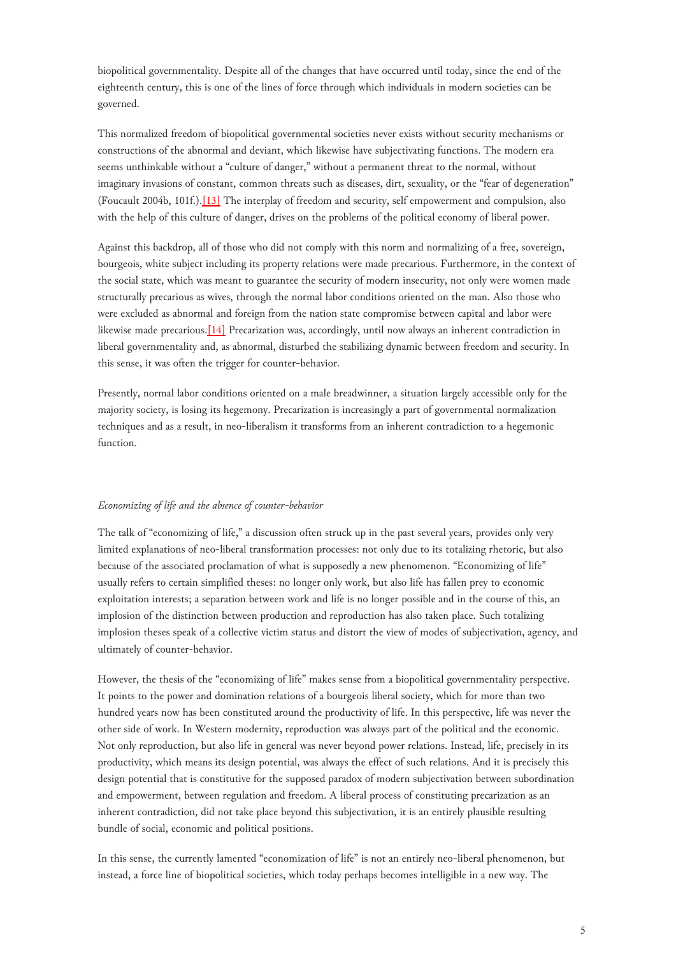biopolitical governmentality. Despite all of the changes that have occurred until today, since the end of the eighteenth century, this is one of the lines of force through which individuals in modern societies can be governed.

<span id="page-4-0"></span>This normalized freedom of biopolitical governmental societies never exists without security mechanisms or constructions of the abnormal and deviant, which likewise have subjectivating functions. The modern era seems unthinkable without a "culture of danger," without a permanent threat to the normal, without imaginary invasions of constant, common threats such as diseases, dirt, sexuality, or the "fear of degeneration" (Foucault 2004b, 101f.)[.\[13\]](#page-11-2) The interplay of freedom and security, self empowerment and compulsion, also with the help of this culture of danger, drives on the problems of the political economy of liberal power.

<span id="page-4-1"></span>Against this backdrop, all of those who did not comply with this norm and normalizing of a free, sovereign, bourgeois, white subject including its property relations were made precarious. Furthermore, in the context of the social state, which was meant to guarantee the security of modern insecurity, not only were women made structurally precarious as wives, through the normal labor conditions oriented on the man. Also those who were excluded as abnormal and foreign from the nation state compromise between capital and labor were likewise made precarious.[\[14\]](#page-11-3) Precarization was, accordingly, until now always an inherent contradiction in liberal governmentality and, as abnormal, disturbed the stabilizing dynamic between freedom and security. In this sense, it was often the trigger for counter-behavior.

Presently, normal labor conditions oriented on a male breadwinner, a situation largely accessible only for the majority society, is losing its hegemony. Precarization is increasingly a part of governmental normalization techniques and as a result, in neo-liberalism it transforms from an inherent contradiction to a hegemonic function.

#### *Economizing of life and the absence of counter-behavior*

The talk of "economizing of life," a discussion often struck up in the past several years, provides only very limited explanations of neo-liberal transformation processes: not only due to its totalizing rhetoric, but also because of the associated proclamation of what is supposedly a new phenomenon. "Economizing of life" usually refers to certain simplified theses: no longer only work, but also life has fallen prey to economic exploitation interests; a separation between work and life is no longer possible and in the course of this, an implosion of the distinction between production and reproduction has also taken place. Such totalizing implosion theses speak of a collective victim status and distort the view of modes of subjectivation, agency, and ultimately of counter-behavior.

However, the thesis of the "economizing of life" makes sense from a biopolitical governmentality perspective. It points to the power and domination relations of a bourgeois liberal society, which for more than two hundred years now has been constituted around the productivity of life. In this perspective, life was never the other side of work. In Western modernity, reproduction was always part of the political and the economic. Not only reproduction, but also life in general was never beyond power relations. Instead, life, precisely in its productivity, which means its design potential, was always the effect of such relations. And it is precisely this design potential that is constitutive for the supposed paradox of modern subjectivation between subordination and empowerment, between regulation and freedom. A liberal process of constituting precarization as an inherent contradiction, did not take place beyond this subjectivation, it is an entirely plausible resulting bundle of social, economic and political positions.

In this sense, the currently lamented "economization of life" is not an entirely neo-liberal phenomenon, but instead, a force line of biopolitical societies, which today perhaps becomes intelligible in a new way. The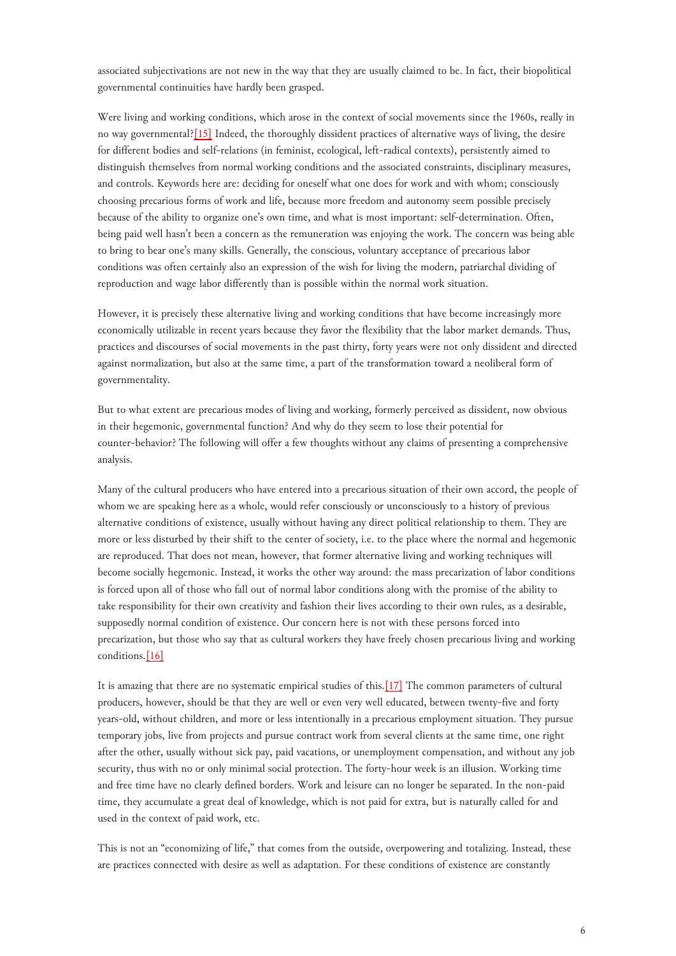associated subjectivations are not new in the way that they are usually claimed to be. In fact, their biopolitical governmental continuities have hardly been grasped.

<span id="page-5-0"></span>Were living and working conditions, which arose in the context of social movements since the 1960s, really in no way governmental?[\[15\]](#page-11-4) Indeed, the thoroughly dissident practices of alternative ways of living, the desire for different bodies and self-relations (in feminist, ecological, left-radical contexts), persistently aimed to distinguish themselves from normal working conditions and the associated constraints, disciplinary measures, and controls. Keywords here are: deciding for oneself what one does for work and with whom; consciously choosing precarious forms of work and life, because more freedom and autonomy seem possible precisely because of the ability to organize one's own time, and what is most important: self-determination. Often, being paid well hasn't been a concern as the remuneration was enjoying the work. The concern was being able to bring to bear one's many skills. Generally, the conscious, voluntary acceptance of precarious labor conditions was often certainly also an expression of the wish for living the modern, patriarchal dividing of reproduction and wage labor differently than is possible within the normal work situation.

However, it is precisely these alternative living and working conditions that have become increasingly more economically utilizable in recent years because they favor the flexibility that the labor market demands. Thus, practices and discourses of social movements in the past thirty, forty years were not only dissident and directed against normalization, but also at the same time, a part of the transformation toward a neoliberal form of governmentality.

But to what extent are precarious modes of living and working, formerly perceived as dissident, now obvious in their hegemonic, governmental function? And why do they seem to lose their potential for counter-behavior? The following will offer a few thoughts without any claims of presenting a comprehensive analysis.

<span id="page-5-1"></span>Many of the cultural producers who have entered into a precarious situation of their own accord, the people of whom we are speaking here as a whole, would refer consciously or unconsciously to a history of previous alternative conditions of existence, usually without having any direct political relationship to them. They are more or less disturbed by their shift to the center of society, i.e. to the place where the normal and hegemonic are reproduced. That does not mean, however, that former alternative living and working techniques will become socially hegemonic. Instead, it works the other way around: the mass precarization of labor conditions is forced upon all of those who fall out of normal labor conditions along with the promise of the ability to take responsibility for their own creativity and fashion their lives according to their own rules, as a desirable, supposedly normal condition of existence. Our concern here is not with these persons forced into precarization, but those who say that as cultural workers they have freely chosen precarious living and working conditions[.\[16\]](#page-11-5)

<span id="page-5-2"></span>It is amazing that there are no systematic empirical studies of this.[\[17\]](#page-11-6) The common parameters of cultural producers, however, should be that they are well or even very well educated, between twenty-five and forty years-old, without children, and more or less intentionally in a precarious employment situation. They pursue temporary jobs, live from projects and pursue contract work from several clients at the same time, one right after the other, usually without sick pay, paid vacations, or unemployment compensation, and without any job security, thus with no or only minimal social protection. The forty-hour week is an illusion. Working time and free time have no clearly defined borders. Work and leisure can no longer be separated. In the non-paid time, they accumulate a great deal of knowledge, which is not paid for extra, but is naturally called for and used in the context of paid work, etc.

<span id="page-5-3"></span>This is not an "economizing of life," that comes from the outside, overpowering and totalizing. Instead, these are practices connected with desire as well as adaptation. For these conditions of existence are constantly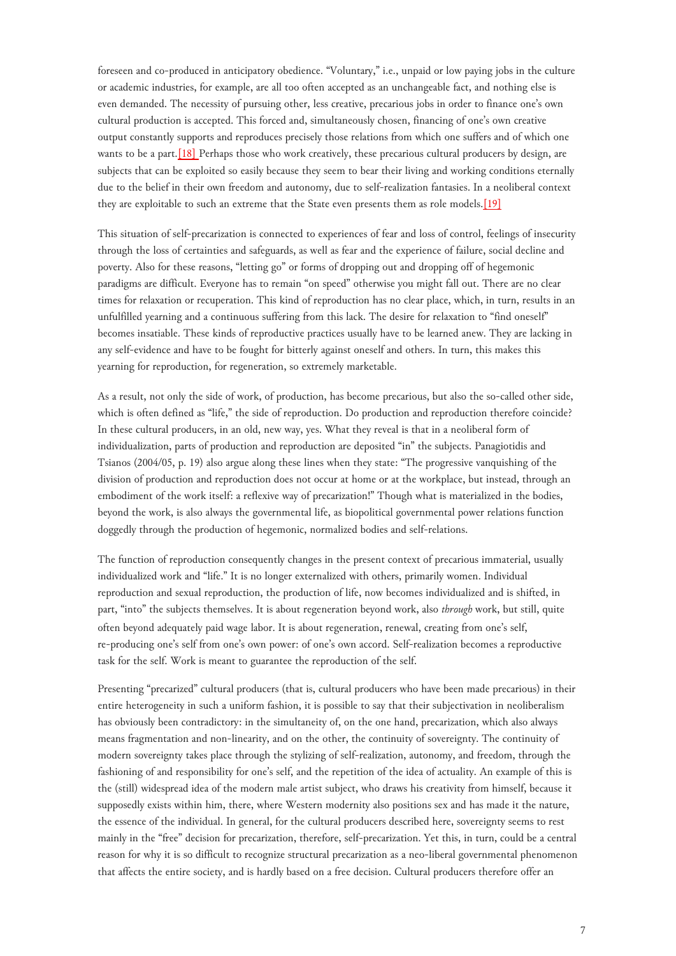foreseen and co-produced in anticipatory obedience. "Voluntary," i.e., unpaid or low paying jobs in the culture or academic industries, for example, are all too often accepted as an unchangeable fact, and nothing else is even demanded. The necessity of pursuing other, less creative, precarious jobs in order to finance one's own cultural production is accepted. This forced and, simultaneously chosen, financing of one's own creative output constantly supports and reproduces precisely those relations from which one suffers and of which one wants to be a part.<sup>[18]</sup> Perhaps those who work creatively, these precarious cultural producers by design, are subjects that can be exploited so easily because they seem to bear their living and working conditions eternally due to the belief in their own freedom and autonomy, due to self-realization fantasies. In a neoliberal context they are exploitable to such an extreme that the State even presents them as role models.[\[19\]](#page-11-8)

This situation of self-precarization is connected to experiences of fear and loss of control, feelings of insecurity through the loss of certainties and safeguards, as well as fear and the experience of failure, social decline and poverty. Also for these reasons, "letting go" or forms of dropping out and dropping off of hegemonic paradigms are difficult. Everyone has to remain "on speed" otherwise you might fall out. There are no clear times for relaxation or recuperation. This kind of reproduction has no clear place, which, in turn, results in an unfulfilled yearning and a continuous suffering from this lack. The desire for relaxation to "find oneself" becomes insatiable. These kinds of reproductive practices usually have to be learned anew. They are lacking in any self-evidence and have to be fought for bitterly against oneself and others. In turn, this makes this yearning for reproduction, for regeneration, so extremely marketable.

As a result, not only the side of work, of production, has become precarious, but also the so-called other side, which is often defined as "life," the side of reproduction. Do production and reproduction therefore coincide? In these cultural producers, in an old, new way, yes. What they reveal is that in a neoliberal form of individualization, parts of production and reproduction are deposited "in" the subjects. Panagiotidis and Tsianos (2004/05, p. 19) also argue along these lines when they state: "The progressive vanquishing of the division of production and reproduction does not occur at home or at the workplace, but instead, through an embodiment of the work itself: a reflexive way of precarization!" Though what is materialized in the bodies, beyond the work, is also always the governmental life, as biopolitical governmental power relations function doggedly through the production of hegemonic, normalized bodies and self-relations.

The function of reproduction consequently changes in the present context of precarious immaterial, usually individualized work and "life." It is no longer externalized with others, primarily women. Individual reproduction and sexual reproduction, the production of life, now becomes individualized and is shifted, in part, "into" the subjects themselves. It is about regeneration beyond work, also *through* work, but still, quite often beyond adequately paid wage labor. It is about regeneration, renewal, creating from one's self, re-producing one's self from one's own power: of one's own accord. Self-realization becomes a reproductive task for the self. Work is meant to guarantee the reproduction of the self.

<span id="page-6-0"></span>Presenting "precarized" cultural producers (that is, cultural producers who have been made precarious) in their entire heterogeneity in such a uniform fashion, it is possible to say that their subjectivation in neoliberalism has obviously been contradictory: in the simultaneity of, on the one hand, precarization, which also always means fragmentation and non-linearity, and on the other, the continuity of sovereignty. The continuity of modern sovereignty takes place through the stylizing of self-realization, autonomy, and freedom, through the fashioning of and responsibility for one's self, and the repetition of the idea of actuality. An example of this is the (still) widespread idea of the modern male artist subject, who draws his creativity from himself, because it supposedly exists within him, there, where Western modernity also positions sex and has made it the nature, the essence of the individual. In general, for the cultural producers described here, sovereignty seems to rest mainly in the "free" decision for precarization, therefore, self-precarization. Yet this, in turn, could be a central reason for why it is so difficult to recognize structural precarization as a neo-liberal governmental phenomenon that affects the entire society, and is hardly based on a free decision. Cultural producers therefore offer an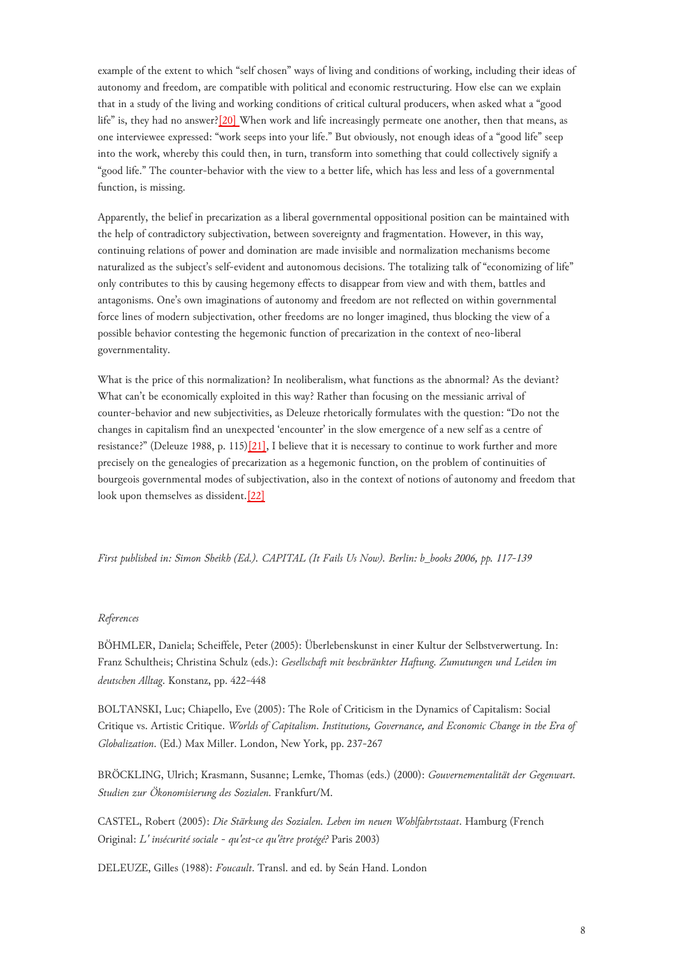example of the extent to which "self chosen" ways of living and conditions of working, including their ideas of autonomy and freedom, are compatible with political and economic restructuring. How else can we explain that in a study of the living and working conditions of critical cultural producers, when asked what a "good life" is, they had no answer[?\[20\] W](#page-11-9)hen work and life increasingly permeate one another, then that means, as one interviewee expressed: "work seeps into your life." But obviously, not enough ideas of a "good life" seep into the work, whereby this could then, in turn, transform into something that could collectively signify a "good life." The counter-behavior with the view to a better life, which has less and less of a governmental function, is missing.

Apparently, the belief in precarization as a liberal governmental oppositional position can be maintained with the help of contradictory subjectivation, between sovereignty and fragmentation. However, in this way, continuing relations of power and domination are made invisible and normalization mechanisms become naturalized as the subject's self-evident and autonomous decisions. The totalizing talk of "economizing of life" only contributes to this by causing hegemony effects to disappear from view and with them, battles and antagonisms. One's own imaginations of autonomy and freedom are not reflected on within governmental force lines of modern subjectivation, other freedoms are no longer imagined, thus blocking the view of a possible behavior contesting the hegemonic function of precarization in the context of neo-liberal governmentality.

<span id="page-7-0"></span>What is the price of this normalization? In neoliberalism, what functions as the abnormal? As the deviant? What can't be economically exploited in this way? Rather than focusing on the messianic arrival of counter-behavior and new subjectivities, as Deleuze rhetorically formulates with the question: "Do not the changes in capitalism find an unexpected 'encounter' in the slow emergence of a new self as a centre of resistance?" (Deleuze 1988, p. 115[\)\[21\]](#page-11-10), I believe that it is necessary to continue to work further and more precisely on the genealogies of precarization as a hegemonic function, on the problem of continuities of bourgeois governmental modes of subjectivation, also in the context of notions of autonomy and freedom that look upon themselves as dissident.<sup>[\[22\]](#page-11-11)</sup>

*First published in: Simon Sheikh (Ed.). CAPITAL (It Fails Us Now). Berlin: b\_books 2006, pp. 117-139*

#### *References*

BÖHMLER, Daniela; Scheiffele, Peter (2005): Überlebenskunst in einer Kultur der Selbstverwertung. In: Franz Schultheis; Christina Schulz (eds.): *Gesellschaft mit beschränkter Haftung. Zumutungen und Leiden im deutschen Alltag*. Konstanz, pp. 422-448

BOLTANSKI, Luc; Chiapello, Eve (2005): The Role of Criticism in the Dynamics of Capitalism: Social Critique vs. Artistic Critique. *Worlds of Capitalism*. *Institutions, Governance, and Economic Change in the Era of Globalization*. (Ed.) Max Miller. London, New York, pp. 237-267

BRÖCKLING, Ulrich; Krasmann, Susanne; Lemke, Thomas (eds.) (2000): *Gouvernementalität der Gegenwart. Studien zur Ökonomisierung des Sozialen.* Frankfurt/M.

CASTEL, Robert (2005): *Die Stärkung des Sozialen. Leben im neuen Wohlfahrtsstaat*. Hamburg (French Original: *L' insécurité sociale - qu'est-ce qu'être protégé?* Paris 2003)

DELEUZE, Gilles (1988): *Foucault*. Transl. and ed. by Seán Hand. London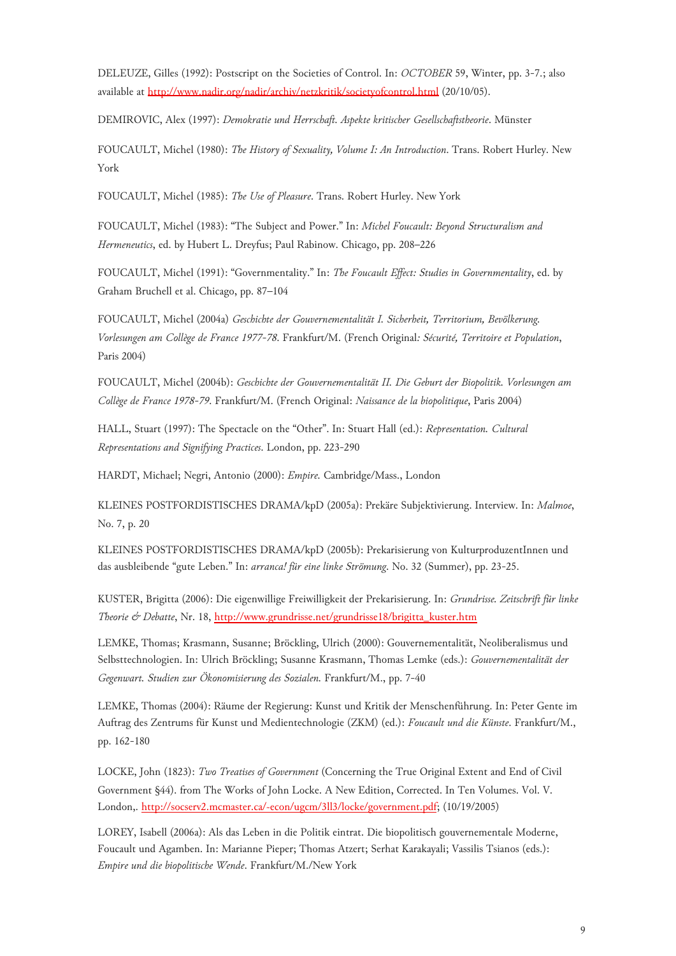DELEUZE, Gilles (1992): Postscript on the Societies of Control. In: *OCTOBER* 59, Winter, pp. 3-7.; also available at <http://www.nadir.org/nadir/archiv/netzkritik/societyofcontrol.html>(20/10/05).

DEMIROVIC, Alex (1997): *Demokratie und Herrschaft. Aspekte kritischer Gesellschaftstheorie*. Münster

FOUCAULT, Michel (1980): *The History of Sexuality, Volume I: An Introduction*. Trans. Robert Hurley. New York

FOUCAULT, Michel (1985): *The Use of Pleasure*. Trans. Robert Hurley. New York

FOUCAULT, Michel (1983): "The Subject and Power." In: *Michel Foucault: Beyond Structuralism and Hermeneutics*, ed. by Hubert L. Dreyfus; Paul Rabinow. Chicago, pp. 208–226

FOUCAULT, Michel (1991): "Governmentality." In: *The Foucault Effect: Studies in Governmentality*, ed. by Graham Bruchell et al. Chicago, pp. 87–104

FOUCAULT, Michel (2004a) *Geschichte der Gouvernementalität I. Sicherheit, Territorium, Bevölkerung. Vorlesungen am Collège de France 1977-78*. Frankfurt/M. (French Original*: Sécurité, Territoire et Population*, Paris 2004)

FOUCAULT, Michel (2004b): *Geschichte der Gouvernementalität II. Die Geburt der Biopolitik. Vorlesungen am Collège de France 1978-79*. Frankfurt/M. (French Original: *Naissance de la biopolitique*, Paris 2004)

HALL, Stuart (1997): The Spectacle on the "Other". In: Stuart Hall (ed.): *Representation. Cultural Representations and Signifying Practices*. London, pp. 223-290

HARDT, Michael; Negri, Antonio (2000): *Empire.* Cambridge/Mass., London

KLEINES POSTFORDISTISCHES DRAMA/kpD (2005a): Prekäre Subjektivierung. Interview. In: *Malmoe*, No. 7, p. 20

KLEINES POSTFORDISTISCHES DRAMA/kpD (2005b): Prekarisierung von KulturproduzentInnen und das ausbleibende "gute Leben." In: *arranca! für eine linke Strömung*. No. 32 (Summer), pp. 23-25.

KUSTER, Brigitta (2006): Die eigenwillige Freiwilligkeit der Prekarisierung. In: *Grundrisse. Zeitschrift für linke Theorie & Debatte*, Nr. 18, [http://www.grundrisse.net/grundrisse18/brigitta\\_kuster.htm](http://www.grundrisse.net/grundrisse18/brigitta_kuster.htm)

LEMKE, Thomas; Krasmann, Susanne; Bröckling, Ulrich (2000): Gouvernementalität, Neoliberalismus und Selbsttechnologien. In: Ulrich Bröckling; Susanne Krasmann, Thomas Lemke (eds.): *Gouvernementalität der Gegenwart. Studien zur Ökonomisierung des Sozialen.* Frankfurt/M., pp. 7-40

LEMKE, Thomas (2004): Räume der Regierung: Kunst und Kritik der Menschenführung. In: Peter Gente im Auftrag des Zentrums für Kunst und Medientechnologie (ZKM) (ed.): *Foucault und die Künste*. Frankfurt/M., pp. 162-180

LOCKE, John (1823): *Two Treatises of Government* (Concerning the True Original Extent and End of Civil Government §44). from The Works of John Locke. A New Edition, Corrected. In Ten Volumes. Vol. V. London,. [http://socserv2.mcmaster.ca/~econ/ugcm/3ll3/locke/government.pdf;](http://socserv2.mcmaster.ca/%7Eecon/ugcm/3ll3/locke/government.pdf) (10/19/2005)

LOREY, Isabell (2006a): Als das Leben in die Politik eintrat. Die biopolitisch gouvernementale Moderne, Foucault und Agamben. In: Marianne Pieper; Thomas Atzert; Serhat Karakayali; Vassilis Tsianos (eds.): *Empire und die biopolitische Wende*. Frankfurt/M./New York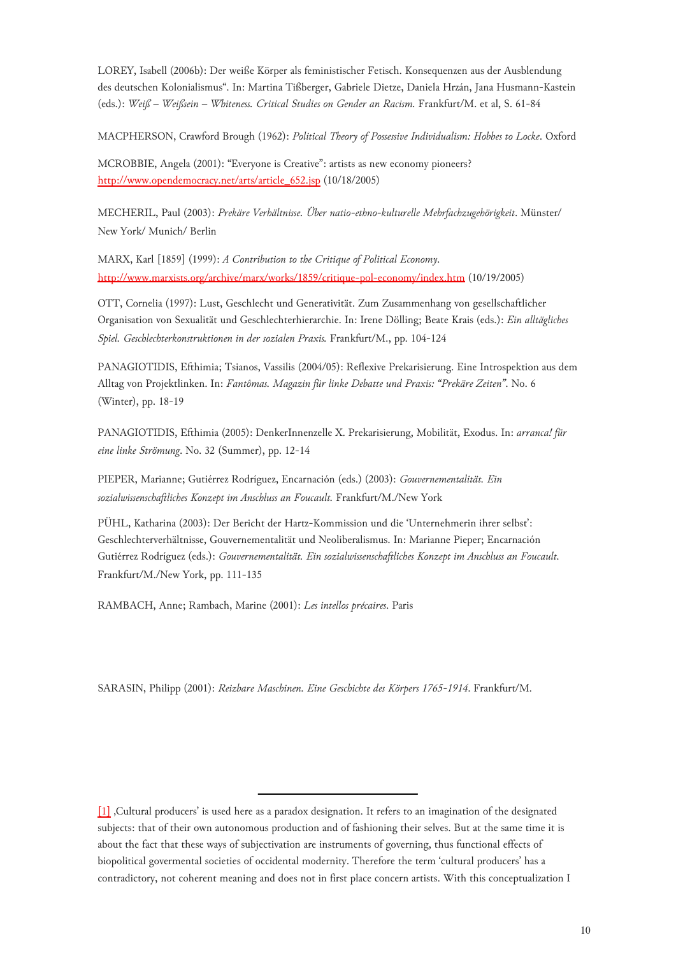LOREY, Isabell (2006b): Der weiße Körper als feministischer Fetisch. Konsequenzen aus der Ausblendung des deutschen Kolonialismus". In: Martina Tißberger, Gabriele Dietze, Daniela Hrzán, Jana Husmann-Kastein (eds.): *Weiß – Weißsein – Whiteness. Critical Studies on Gender an Racism.* Frankfurt/M. et al, S. 61-84

MACPHERSON, Crawford Brough (1962): *Political Theory of Possessive Individualism: Hobbes to Locke*. Oxford

MCROBBIE, Angela (2001): "Everyone is Creative": artists as new economy pioneers? [http://www.opendemocracy.net/arts/article\\_652.jsp](http://www.opendemocracy.net/arts/article_652.jsp) (10/18/2005)

MECHERIL, Paul (2003): *Prekäre Verhältnisse. Über natio-ethno-kulturelle Mehrfachzugehörigkeit*. Münster/ New York/ Munich/ Berlin

MARX, Karl [1859] (1999): *A Contribution to the Critique of Political Economy*. <http://www.marxists.org/archive/marx/works/1859/critique-pol-economy/index.htm>(10/19/2005)

OTT, Cornelia (1997): Lust, Geschlecht und Generativität. Zum Zusammenhang von gesellschaftlicher Organisation von Sexualität und Geschlechterhierarchie. In: Irene Dölling; Beate Krais (eds.): *Ein alltägliches Spiel. Geschlechterkonstruktionen in der sozialen Praxis.* Frankfurt/M., pp. 104-124

PANAGIOTIDIS, Efthimia; Tsianos, Vassilis (2004/05): Reflexive Prekarisierung. Eine Introspektion aus dem Alltag von Projektlinken. In: *Fantômas. Magazin für linke Debatte und Praxis: "Prekäre Zeiten"*. No. 6 (Winter), pp. 18-19

PANAGIOTIDIS, Efthimia (2005): DenkerInnenzelle X. Prekarisierung, Mobilität, Exodus. In: *arranca! für eine linke Strömung*. No. 32 (Summer), pp. 12-14

PIEPER, Marianne; Gutiérrez Rodríguez, Encarnación (eds.) (2003): *Gouvernementalität. Ein sozialwissenschaftliches Konzept im Anschluss an Foucault.* Frankfurt/M./New York

PÜHL, Katharina (2003): Der Bericht der Hartz-Kommission und die 'Unternehmerin ihrer selbst': Geschlechterverhältnisse, Gouvernementalität und Neoliberalismus. In: Marianne Pieper; Encarnación Gutiérrez Rodríguez (eds.): *Gouvernementalität. Ein sozialwissenschaftliches Konzept im Anschluss an Foucault.* Frankfurt/M./New York, pp. 111-135

RAMBACH, Anne; Rambach, Marine (2001): *Les intellos précaires*. Paris

SARASIN, Philipp (2001): *Reizbare Maschinen. Eine Geschichte des Körpers 1765-1914*. Frankfurt/M.

<span id="page-9-0"></span>[\[1\]](#page-0-0) ,Cultural producers' is used here as a paradox designation. It refers to an imagination of the designated subjects: that of their own autonomous production and of fashioning their selves. But at the same time it is about the fact that these ways of subjectivation are instruments of governing, thus functional effects of biopolitical govermental societies of occidental modernity. Therefore the term 'cultural producers' has a contradictory, not coherent meaning and does not in first place concern artists. With this conceptualization I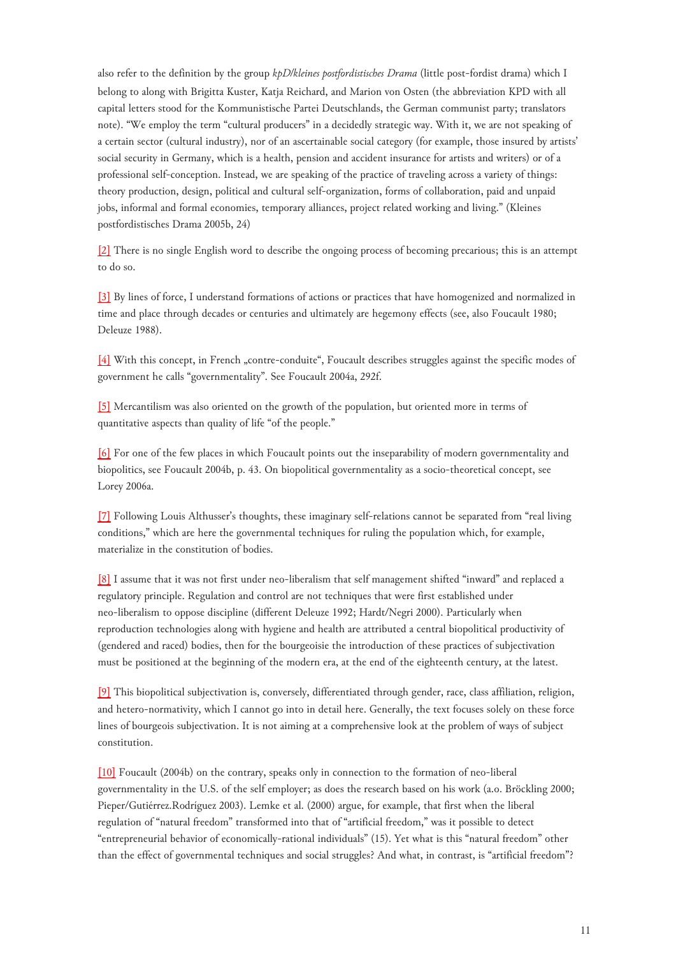also refer to the definition by the group *kpD/kleines postfordistisches Drama* (little post-fordist drama) which I belong to along with Brigitta Kuster, Katja Reichard, and Marion von Osten (the abbreviation KPD with all capital letters stood for the Kommunistische Partei Deutschlands, the German communist party; translators note). "We employ the term "cultural producers" in a decidedly strategic way. With it, we are not speaking of a certain sector (cultural industry), nor of an ascertainable social category (for example, those insured by artists' social security in Germany, which is a health, pension and accident insurance for artists and writers) or of a professional self-conception. Instead, we are speaking of the practice of traveling across a variety of things: theory production, design, political and cultural self-organization, forms of collaboration, paid and unpaid jobs, informal and formal economies, temporary alliances, project related working and living." (Kleines postfordistisches Drama 2005b, 24)

<span id="page-10-0"></span>[\[2\]](#page-0-1) There is no single English word to describe the ongoing process of becoming precarious; this is an attempt to do so.

<span id="page-10-1"></span>[\[3\]](#page-0-2) By lines of force, I understand formations of actions or practices that have homogenized and normalized in time and place through decades or centuries and ultimately are hegemony effects (see, also Foucault 1980; Deleuze 1988).

<span id="page-10-2"></span>[\[4\]](#page-0-2) With this concept, in French "contre-conduite", Foucault describes struggles against the specific modes of government he calls "governmentality". See Foucault 2004a, 292f.

<span id="page-10-3"></span>[\[5\]](#page-1-0) Mercantilism was also oriented on the growth of the population, but oriented more in terms of quantitative aspects than quality of life "of the people."

<span id="page-10-4"></span>[\[6\]](#page-1-1) For one of the few places in which Foucault points out the inseparability of modern governmentality and biopolitics, see Foucault 2004b, p. 43. On biopolitical governmentality as a socio-theoretical concept, see Lorey 2006a.

<span id="page-10-5"></span>[\[7\]](#page-2-0) Following Louis Althusser's thoughts, these imaginary self-relations cannot be separated from "real living conditions," which are here the governmental techniques for ruling the population which, for example, materialize in the constitution of bodies.

<span id="page-10-6"></span>[\[8\]](#page-2-1) I assume that it was not first under neo-liberalism that self management shifted "inward" and replaced a regulatory principle. Regulation and control are not techniques that were first established under neo-liberalism to oppose discipline (different Deleuze 1992; Hardt/Negri 2000). Particularly when reproduction technologies along with hygiene and health are attributed a central biopolitical productivity of (gendered and raced) bodies, then for the bourgeoisie the introduction of these practices of subjectivation must be positioned at the beginning of the modern era, at the end of the eighteenth century, at the latest.

<span id="page-10-7"></span>[\[9\]](#page-2-2) This biopolitical subjectivation is, conversely, differentiated through gender, race, class affiliation, religion, and hetero-normativity, which I cannot go into in detail here. Generally, the text focuses solely on these force lines of bourgeois subjectivation. It is not aiming at a comprehensive look at the problem of ways of subject constitution.

<span id="page-10-8"></span>[\[10\]](#page-2-3) Foucault (2004b) on the contrary, speaks only in connection to the formation of neo-liberal governmentality in the U.S. of the self employer; as does the research based on his work (a.o. Bröckling 2000; Pieper/Gutiérrez.Rodríguez 2003). Lemke et al. (2000) argue, for example, that first when the liberal regulation of "natural freedom" transformed into that of "artificial freedom," was it possible to detect "entrepreneurial behavior of economically-rational individuals" (15). Yet what is this "natural freedom" other than the effect of governmental techniques and social struggles? And what, in contrast, is "artificial freedom"?